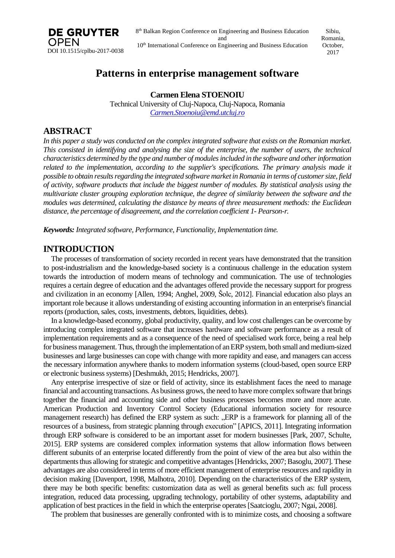

Sibiu, Romania, October, 2017

# **Patterns in enterprise management software**

**Carmen Elena STOENOIU** Technical University of Cluj-Napoca, Cluj-Napoca, Romania *Carmen.Stoenoiu@emd.utcluj.ro*

## **ABSTRACT**

In this paper a study was conducted on the complex integrated software that exists on the Romanian market. This consisted in identifying and analysing the size of the enterprise, the number of users, the technical *characteristics determined by the type and number of modulesincluded in the software and otherinformation related to the implementation, according to the supplier's specifications. The primary analysis made it possible to obtain resultsregarding the integrated software market inRomania in terms of customersize, field of activity, software products that include the biggest number of modules. By statistical analysis using the multivariate cluster grouping exploration technique, the degree of similarity between the software and the modules was determined, calculating the distance by means of three measurement methods: the Euclidean distance, the percentage of disagreement, and the correlation coefficient 1- Pearson-r.*

*Keywords: Integrated software, Performance, Functionality, Implementation time.*

## **INTRODUCTION**

The processes of transformation of society recorded in recent years have demonstrated that the transition to post-industrialism and the knowledge-based society is a continuous challenge in the education system towards the introduction of modern means of technology and communication. The use of technologies requires a certain degree of education and the advantages offered provide the necessary support for progress and civilization in an economy [Allen, 1994; Anghel, 2009, Šolc, 2012]. Financial education also plays an important role because it allows understanding of existing accounting information in an enterprise'sfinancial reports(production, sales, costs, investments, debtors, liquidities, debts).

In a knowledge-based economy, global productivity, quality, and low cost challenges can be overcome by introducing complex integrated software that increases hardware and software performance as a result of implementation requirements and as a consequence of the need of specialised work force, being a real help for businessmanagement.Thus, through the implementation of anERP system, both small and medium-sized businesses and large businesses can cope with change with more rapidity and ease, and managers can access the necessary information anywhere thanks to modern information systems (cloud-based, open source ERP or electronic businesssystems) [Deshmukh, 2015; Hendricks, 2007].

Any enterprise irrespective of size or field of activity, since its establishment faces the need to manage financial and accounting transactions. As business grows, the need to have more complex software that brings together the financial and accounting side and other business processes becomes more and more acute. American Production and Inventory Control Society (Educational information society for resource management research) has defined the ERP system as such: "ERP is a framework for planning all of the resources of a business, from strategic planning through execution" [APICS, 2011]. Integrating information through ERP software is considered to be an important asset for modern businesses [Park, 2007, Schulte, 2015]. ERP systems are considered complex information systems that allow information flows between different subunits of an enterprise located differently from the point of view of the area but also within the departments thus allowing for strategic and competitive advantages [Hendricks, 2007; Basoglu, 2007]. These advantages are also considered in terms of more efficient management of enterprise resources and rapidity in decision making [Davenport, 1998, Malhotra, 2010]. Depending on the characteristics of the ERP system, there may be both specific benefits: customization data as well as general benefits such as: full process integration, reduced data processing, upgrading technology, portability of other systems, adaptability and application of best practices in the field in which the enterprise operates [Saatcioglu, 2007; Ngai, 2008].

The problem that businesses are generally confronted with is to minimize costs, and choosing a software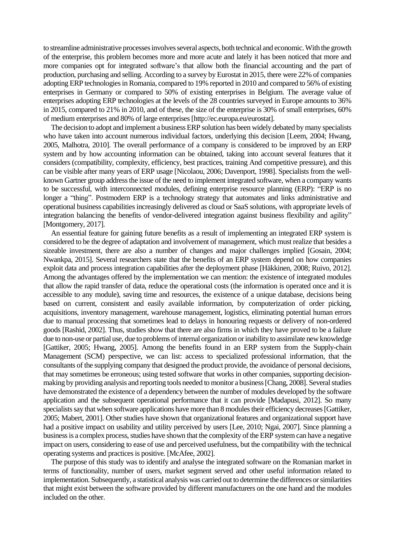to streamline administrative processes involves several aspects, both technical and economic. With the growth of the enterprise, this problem becomes more and more acute and lately it has been noticed that more and more companies opt for integrated software's that allow both the financial accounting and the part of production, purchasing and selling. According to a survey by Eurostat in 2015, there were 22% of companies adopting ERP technologies in Romania, compared to 19% reported in 2010 and compared to 56% of existing enterprises in Germany or compared to 50% of existing enterprises in Belgium. The average value of enterprises adopting ERP technologies at the levels of the 28 countries surveyed in Europe amounts to 36% in 2015, compared to 21% in 2010, and of these, the size of the enterprise is 30% of small enterprises, 60% of medium enterprises and 80% of large enterprises[http://ec.europa.eu/eurostat].

The decision to adopt and implement a business ERP solution has been widely debated by many specialists who have taken into account numerous individual factors, underlying this decision [Leem, 2004; Hwang, 2005, Malhotra, 2010]. The overall performance of a company is considered to be improved by an ERP system and by how accounting information can be obtained, taking into account several features that it considers (compatibility, complexity, efficiency, best practices, training And competitive pressure), and this can be visible after many years of ERP usage [Nicolaou, 2006; Davenport, 1998]. Specialists from the wellknown Gartner group address the issue of the need to implement integrated software, when a company wants to be successful, with interconnected modules, defining enterprise resource planning (ERP): "ERP is no longer a "thing". Postmodern ERP is a technology strategy that automates and links administrative and operational business capabilitiesincreasingly delivered as cloud or SaaS solutions, with appropriate levels of integration balancing the benefits of vendor-delivered integration against business flexibility and agility" [Montgomery, 2017].

An essential feature for gaining future benefits as a result of implementing an integrated ERP system is considered to be the degree of adaptation and involvement of management, which must realize that besides a sizeable investment, there are also a number of changes and major challenges implied [Gosain, 2004; Nwankpa, 2015]. Several researchers state that the benefits of an ERP system depend on how companies exploit data and process integration capabilities after the deployment phase [Häkkinen, 2008; Ruivo, 2012]. Among the advantages offered by the implementation we can mention: the existence of integrated modules that allow the rapid transfer of data, reduce the operational costs (the information is operated once and it is accessible to any module), saving time and resources, the existence of a unique database, decisions being based on current, consistent and easily available information, by computerization of order picking, acquisitions, inventory management, warehouse management, logistics, eliminating potential human errors due to manual processing that sometimes lead to delays in honouring requests or delivery of non-ordered goods [Rashid, 2002]. Thus, studies show that there are also firms in which they have proved to be a failure due to non-use or partial use, due to problems of internal organization or inability to assimilate new knowledge [Gattiker, 2005; Hwang, 2005]. Among the benefits found in an ERP system from the Supply-chain Management (SCM) perspective, we can list: access to specialized professional information, that the consultants of the supplying company that designed the product provide, the avoidance of personal decisions, that may sometimes be erroneous; using tested software that works in other companies, supporting decisionmaking by providing analysis and reporting tools needed to monitor a business [Chang, 2008]. Several studies have demonstrated the existence of a dependency between the number of modules developed by the software application and the subsequent operational performance that it can provide [Madapusi, 2012]. So many specialists say that when software applications have more than 8 modules their efficiency decreases [Gattiker, 2005; Mabert, 2001]. Other studies have shown that organizational features and organizational support have had a positive impact on usability and utility perceived by users [Lee, 2010; Ngai, 2007]. Since planning a business is a complex process, studies have shown that the complexity of the ERP system can have a negative impact on users, considering to ease of use and perceived usefulness, but the compatibility with the technical operating systems and practicesis positive. [McAfee, 2002].

The purpose of this study was to identify and analyse the integrated software on the Romanian market in terms of functionality, number of users, market segment served and other useful information related to implementation. Subsequently, a statistical analysis was carried out to determine the differences orsimilarities that might exist between the software provided by different manufacturers on the one hand and the modules included on the other.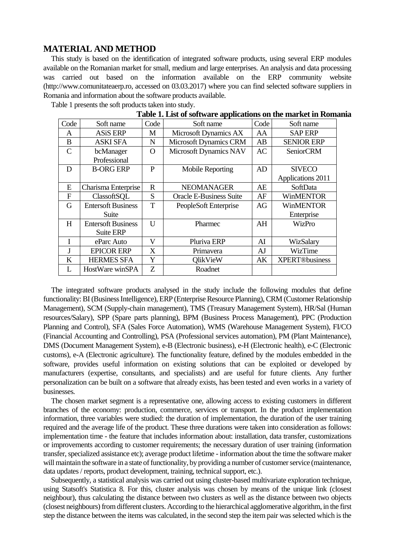#### **MATERIAL AND METHOD**

This study is based on the identification of integrated software products, using several ERP modules available on the Romanian market for small, medium and large enterprises. An analysis and data processing was carried out based on the information available on the ERP community website (http://www.comunitateaerp.ro, accessed on 03.03.2017) where you can find selected software suppliers in Romania and information about the software products available.

| Table 1. East of software applications on the market in Koma |                           |          |                                |      |                       |
|--------------------------------------------------------------|---------------------------|----------|--------------------------------|------|-----------------------|
| Code                                                         | Soft name                 | Code     | Soft name                      | Code | Soft name             |
| A                                                            | <b>ASiS ERP</b>           | М        | Microsoft Dynamics AX          | AA   | <b>SAP ERP</b>        |
| B                                                            | <b>ASKI SFA</b>           | N        | <b>Microsoft Dynamics CRM</b>  | AB   | <b>SENIOR ERP</b>     |
| C                                                            | bcManager                 | $\Omega$ | Microsoft Dynamics NAV         | AC   | <b>SeniorCRM</b>      |
|                                                              | Professional              |          |                                |      |                       |
| D                                                            | <b>B-ORG ERP</b>          | P        | Mobile Reporting               | AD   | <b>SIVECO</b>         |
|                                                              |                           |          |                                |      | Applications 2011     |
| E                                                            | Charisma Enterprise       | R        | <b>NEOMANAGER</b>              | AE   | SoftData              |
| $\mathbf F$                                                  | ClassoftSQL               | S        | <b>Oracle E-Business Suite</b> | AF   | <b>WinMENTOR</b>      |
| G                                                            | <b>Entersoft Business</b> | T        | PeopleSoft Enterprise          | AG   | <b>WinMENTOR</b>      |
|                                                              | Suite                     |          |                                |      | Enterprise            |
| H                                                            | <b>Entersoft Business</b> | U        | Pharmec                        | AH   | WizPro                |
|                                                              | Suite ERP                 |          |                                |      |                       |
| T                                                            | eParc Auto                | v        | Pluriva ERP                    | AI   | WizSalary             |
| T                                                            | <b>EPICOR ERP</b>         | X        | Primavera                      | AJ   | WizTime               |
| K                                                            | <b>HERMES SFA</b>         | Y        | <b>QlikVieW</b>                | АK   | <b>XPERT®business</b> |
| L                                                            | HostWare winSPA           | Z        | Roadnet                        |      |                       |

Table 1 presents the soft products taken into study.

**Table 1. List of software applications on the market in Romania**

The integrated software products analysed in the study include the following modules that define functionality: BI (Business Intelligence), ERP (Enterprise Resource Planning), CRM (Customer Relationship Management), SCM (Supply-chain management), TMS (Treasury Management System), HR/Sal (Human resources/Salary), SPP (Spare parts planning), BPM (Business Process Management), PPC (Production Planning and Control), SFA (Sales Force Automation), WMS (Warehouse Management System), FI/CO (Financial Accounting and Controlling), PSA (Professional services automation), PM (Plant Maintenance), DMS (Document Management System), e-B (Electronic business), e-H (Electronic health), e-C (Electronic customs), e-A (Electronic agriculture). The functionality feature, defined by the modules embedded in the software, provides useful information on existing solutions that can be exploited or developed by manufacturers (expertise, consultants, and specialists) and are useful for future clients. Any further personalization can be built on a software that already exists, has been tested and even works in a variety of businesses.

The chosen market segment is a representative one, allowing access to existing customers in different branches of the economy: production, commerce, services or transport. In the product implementation information, three variables were studied: the duration of implementation, the duration of the user training required and the average life of the product. These three durations were taken into consideration as follows: implementation time - the feature that includes information about: installation, data transfer, customizations or improvements according to customer requirements; the necessary duration of user training (information transfer, specialized assistance etc); average product lifetime - information about the time the software maker will maintain the software in a state of functionality, by providing a number of customer service (maintenance, data updates / reports, product development, training, technical support, etc.).

Subsequently, a statistical analysis was carried out using cluster-based multivariate exploration technique, using Statsoft's Statistica 8. For this, cluster analysis was chosen by means of the unique link (closest neighbour), thus calculating the distance between two clusters as well as the distance between two objects (closest neighbours)fromdifferent clusters. According to the hierarchical agglomerative algorithm, in the first step the distance between the items was calculated, in the second step the item pair was selected which is the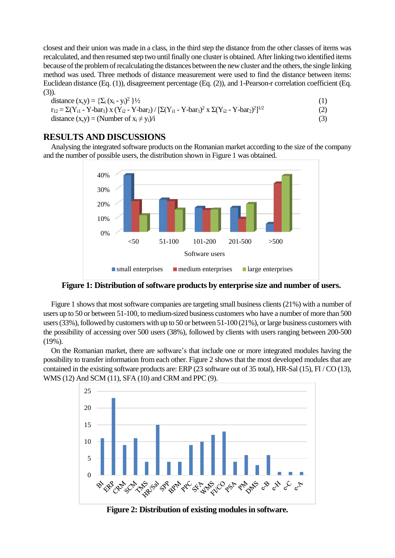closest and their union was made in a class, in the third step the distance from the other classes of items was recalculated, and then resumed step two until finally one clusteris obtained. Afterlinking two identified items because ofthe problemofrecalculating the distances between the newcluster and the others, the single linking method was used. Three methods of distance measurement were used to find the distance between items: Euclidean distance (Eq. (1)), disagreement percentage (Eq. (2)), and 1-Pearson-r correlation coefficient (Eq. (3)).

distance (x,y) = {
$$
\Sigma_i
$$
 (x<sub>i</sub> - y<sub>i</sub>)<sup>2</sup> } $\frac{1}{2}$  (1)  
r<sub>12</sub> =  $\Sigma$ (Y<sub>i1</sub> - Y-bar<sub>1</sub>) x (Y<sub>i2</sub> - Y-bar<sub>2</sub>) / [ $\Sigma$ (Y<sub>i1</sub> - Y-bar<sub>1</sub>)<sup>2</sup> x  $\Sigma$ (Y<sub>i2</sub> - Y-bar<sub>2</sub>)<sup>2</sup>]<sup>1/2</sup> (2)

distance  $(x,y) = (Number of x<sub>i</sub> \neq y<sub>i</sub>)/i$  (3)

### **RESULTS AND DISCUSSIONS**

Analysing the integrated software products on the Romanian market according to the size of the company and the number of possible users, the distribution shown in Figure 1 was obtained.



**Figure 1: Distribution of software products by enterprise size and number of users.**

Figure 1 shows that most software companies are targeting small business clients(21%) with a number of users up to 50 or between 51-100, to medium-sized business customers who have a number of more than 500 users  $(33%)$ , followed by customers with up to 50 or between  $51-100(21%)$ , or large business customers with the possibility of accessing over 500 users (38%), followed by clients with users ranging between 200-500 (19%).

On the Romanian market, there are software's that include one or more integrated modules having the possibility to transfer information from each other. Figure 2 shows that the most developed modules that are contained in the existing software products are: ERP (23 software out of 35 total), HR-Sal (15), FI / CO (13), WMS (12) And SCM (11), SFA (10) and CRM and PPC (9).



**Figure 2: Distribution of existing modulesin software.**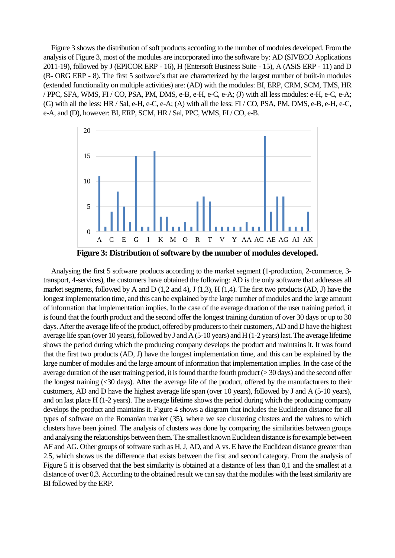Figure 3 shows the distribution of soft products according to the number of modules developed. From the analysis of Figure 3, most of the modules are incorporated into the software by: AD (SIVECO Applications 2011-19), followed by J (EPICOR ERP - 16), H (Entersoft Business Suite - 15), A (ASiS ERP - 11) and D (B- ORG ERP - 8). The first 5 software's that are characterized by the largest number of built-in modules (extended functionality on multiple activities) are: (AD) with the modules: BI, ERP, CRM, SCM, TMS, HR / PPC, SFA, WMS, FI / CO, PSA, PM, DMS, e-B, e-H, e-C, e-A; (J) with all less modules: e-H, e-C, e-A; (G) with all the less: HR / Sal, e-H, e-C, e-A; (A) with all the less: FI / CO, PSA, PM, DMS, e-B, e-H, e-C, e-A, and (D), however: BI, ERP, SCM, HR / Sal, PPC, WMS, FI / CO, e-B.



**Figure 3: Distribution of software by the number of modules developed.**

Analysing the first 5 software products according to the market segment (1-production, 2-commerce, 3 transport, 4-services), the customers have obtained the following: AD is the only software that addresses all market segments, followed by A and D  $(1,2 \text{ and } 4)$ , J  $(1,3)$ , H  $(1,4)$ . The first two products  $(AD, J)$  have the longest implementation time, and this can be explained by the large number of modules and the large amount of information that implementation implies. In the case of the average duration of the user training period, it isfound that the fourth product and the second offer the longest training duration of over 30 days or up to 30 days. After the average life of the product, offered by producers to their customers, AD and D have the highest average life span (over 10 years), followed by J and A (5-10 years) and H (1-2 years) last. The average lifetime shows the period during which the producing company develops the product and maintains it. It was found that the first two products (AD, J) have the longest implementation time, and this can be explained by the large number of modules and the large amount of information that implementation implies. In the case of the average duration of the user training period, it is found that the fourth product ( $>$  30 days) and the second offer the longest training (<30 days). After the average life of the product, offered by the manufacturers to their customers, AD and D have the highest average life span (over 10 years), followed by J and A (5-10 years), and on last place H (1-2 years). The average lifetime shows the period during which the producing company develops the product and maintains it. Figure 4 shows a diagram that includes the Euclidean distance for all types of software on the Romanian market (35), where we see clustering clusters and the values to which clusters have been joined. The analysis of clusters was done by comparing the similarities between groups and analysing the relationships between them. The smallest known Euclidean distance is for example between AF and AG. Other groups of software such as H, J, AD, and A vs. E have the Euclidean distance greater than 2.5, which shows us the difference that exists between the first and second category. From the analysis of Figure 5 it is observed that the best similarity is obtained at a distance of less than 0,1 and the smallest at a distance of over 0,3. According to the obtained result we can say that the modules with the leastsimilarity are BI followed by the ERP.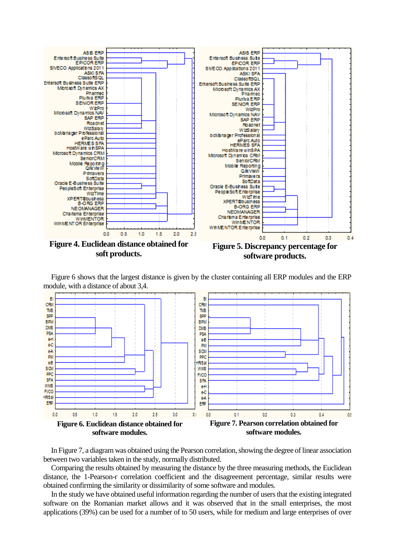

Figure 6 shows that the largest distance is given by the cluster containing all ERP modules and the ERP module, with a distance of about 3,4.



In Figure 7, a diagram was obtained using the Pearson correlation, showing the degree of linear association between two variables taken in the study, normally distributed.

Comparing the results obtained by measuring the distance by the three measuring methods, the Euclidean distance, the 1-Pearson-r correlation coefficient and the disagreement percentage, similar results were obtained confirming the similarity or dissimilarity of some software and modules.

In the study we have obtained useful information regarding the number of usersthat the existing integrated software on the Romanian market allows and it was observed that in the small enterprises, the most applications (39%) can be used for a number of to 50 users, while for medium and large enterprises of over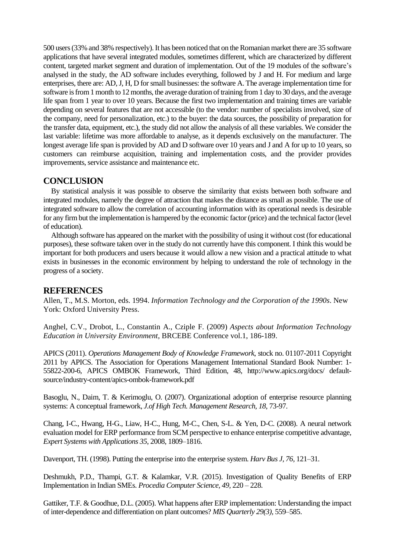500 users(33% and 38% respectively).It has been noticed that on the Romanian market there are 35 software applications that have several integrated modules, sometimes different, which are characterized by different content, targeted market segment and duration of implementation. Out of the 19 modules of the software's analysed in the study, the AD software includes everything, followed by J and H. For medium and large enterprises, there are: AD,J, H, D forsmall businesses: the software A. The average implementation time for software is from 1 month to 12 months, the average duration of training from 1 day to 30 days, and the average life span from 1 year to over 10 years. Because the first two implementation and training times are variable depending on several features that are not accessible (to the vendor: number of specialists involved, size of the company, need for personalization, etc.) to the buyer: the data sources, the possibility of preparation for the transfer data, equipment, etc.), the study did not allow the analysis of all these variables. We consider the last variable: lifetime was more affordable to analyse, as it depends exclusively on the manufacturer. The longest average life span is provided by AD and D software over 10 years and J and A for up to 10 years, so customers can reimburse acquisition, training and implementation costs, and the provider provides improvements, service assistance and maintenance etc.

## **CONCLUSION**

By statistical analysis it was possible to observe the similarity that exists between both software and integrated modules, namely the degree of attraction that makes the distance as small as possible. The use of integrated software to allow the correlation of accounting information with its operational needs is desirable for any firm but the implementation is hampered by the economic factor (price) and the technical factor (level of education).

Although software has appeared on the market with the possibility of using it without cost (for educational purposes), these software taken over in the study do not currently have this component. I think this would be important for both producers and users because it would allow a new vision and a practical attitude to what exists in businesses in the economic environment by helping to understand the role of technology in the progress of a society.

#### **REFERENCES**

Allen, T., M.S. Morton, eds. 1994. *Information Technology and the Corporation of the 1990s*. New York: Oxford University Press.

Anghel, C.V., Drobot, L., Constantin A., Cziple F. (2009) *Aspects about Information Technology Education in University Environment*, BRCEBE Conference vol.1, 186-189.

APICS (2011). *Operations Management Body of Knowledge Framework*, stock no. 01107-2011 Copyright 2011 by APICS. The Association for Operations Management International Standard Book Number: 1- 55822-200-6, APICS OMBOK Framework, Third Edition, 48, http://www.apics.org/docs/ defaultsource/industry-content/apics-ombok-framework.pdf

Basoglu, N., Daim, T. & Kerimoglu, O. (2007). Organizational adoption of enterprise resource planning systems: A conceptual framework, *J.of High Tech. Management Research, 18*, 73-97.

Chang, I-C., Hwang, H-G., Liaw, H-C., Hung, M-C., Chen, S-L. & Yen, D-C. (2008). A neural network evaluation model for ERP performance from SCM perspective to enhance enterprise competitive advantage, *Expert Systems with Applications 35*, 2008, 1809–1816.

Davenport, TH. (1998). Putting the enterprise into the enterprise system. *Harv Bus J, 76,* 121–31.

Deshmukh, P.D., Thampi, G.T. & Kalamkar, V.R. (2015). Investigation of Quality Benefits of ERP Implementation in Indian SMEs. *Procedia Computer Science, 49,* 220 – 228.

Gattiker, T.F. & Goodhue, D.L. (2005). What happens after ERP implementation: Understanding the impact of inter-dependence and differentiation on plant outcomes? *MIS Quarterly 29(3),* 559–585.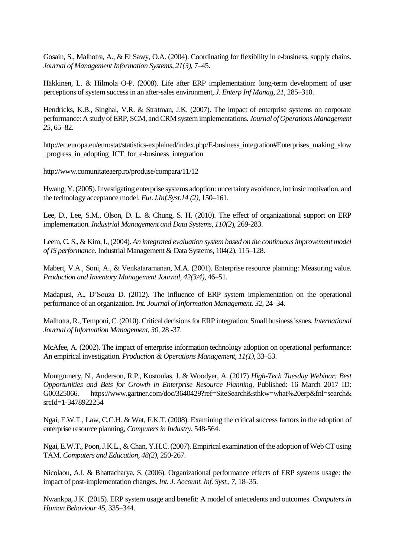Gosain, S., Malhotra, A., & El Sawy, O.A. (2004). Coordinating for flexibility in e-business, supply chains. *Journal of Management Information Systems, 21(3),* 7–45.

Häkkinen, L. & Hilmola O-P. (2008). Life after ERP implementation: long-term development of user perceptions of system successin an after-sales environment, *J. Enterp Inf Manag, 21,* 285–310.

Hendricks, K.B., Singhal, V.R. & Stratman, J.K. (2007). The impact of enterprise systems on corporate performance: A study ofERP, SCM, andCRM systemimplementations. *Journal ofOperations Management 25*, 65–82.

http://ec.europa.eu/eurostat/statistics-explained/index.php/E-business\_integration#Enterprises\_making\_slow \_progress\_in\_adopting\_ICT\_for\_e-business\_integration

http://www.comunitateaerp.ro/produse/compara/11/12

Hwang, Y. (2005). Investigating enterprise systems adoption: uncertainty avoidance, intrinsic motivation, and the technology acceptance model. *Eur.J.Inf.Syst.14 (2),* 150–161.

Lee, D., Lee, S.M., Olson, D. L. & Chung, S. H. (2010). The effect of organizational support on ERP implementation. *Industrial Management and Data Systems, 110(2*), 269-283.

Leem, C. S., & Kim, I., (2004). *An integrated evaluation system based on the continuousimprovement model of IS performance*. Industrial Management & Data Systems, 104(2), 115–128.

Mabert, V.A., Soni, A., & Venkataramanan, M.A. (2001). Enterprise resource planning: Measuring value. *Production and Inventory Management Journal, 42(3/4),* 46–51.

Madapusi, A., D'Souza D. (2012). The influence of ERP system implementation on the operational performance of an organization. *Int. Journal of Information Management. 32,* 24–34.

Malhotra, R., Temponi, C. (2010). Critical decisions for ERP integration: Small business issues, *International Journal of Information Management, 30*, 28 -37.

McAfee, A. (2002). The impact of enterprise information technology adoption on operational performance: An empirical investigation. *Production & Operations Management, 11(1),* 33–53.

[Montgomery,](http://www.gartner.com/analyst/36637) N., [Anderson,](http://www.gartner.com/analyst/10445) R.P., [Kostoulas,](http://www.gartner.com/analyst/58856) J. & [Woodyer,](http://www.gartner.com/analyst/52167) A. (2017) *High-Tech Tuesday Webinar: Best Opportunities and Bets for Growth in Enterprise Resource Planning*, Published: 16 March 2017 ID: G00325066. https://www.gartner.com/doc/3640429?ref=SiteSearch&sthkw=what%20erp&fnl=search& srcId=1-3478922254

Ngai, E.W.T., Law, C.C.H. & Wat, F.K.T. (2008). Examining the critical success factors in the adoption of enterprise resource planning, *Computersin Industry*, 548-564.

Ngai, E.W.T., Poon, J.K.L., & Chan, Y.H.C. (2007). Empirical examination of the adoption of Web CT using TAM. *Computers and Education, 48(2)*, 250-267.

Nicolaou, A.I. & Bhattacharya, S. (2006). Organizational performance effects of ERP systems usage: the impact of post-implementation changes. *Int. J. Account. Inf. Syst., 7,* 18–35.

Nwankpa,J.K. (2015). ERP system usage and benefit: A model of antecedents and outcomes. *Computers in Human Behaviour 45*, 335–344.